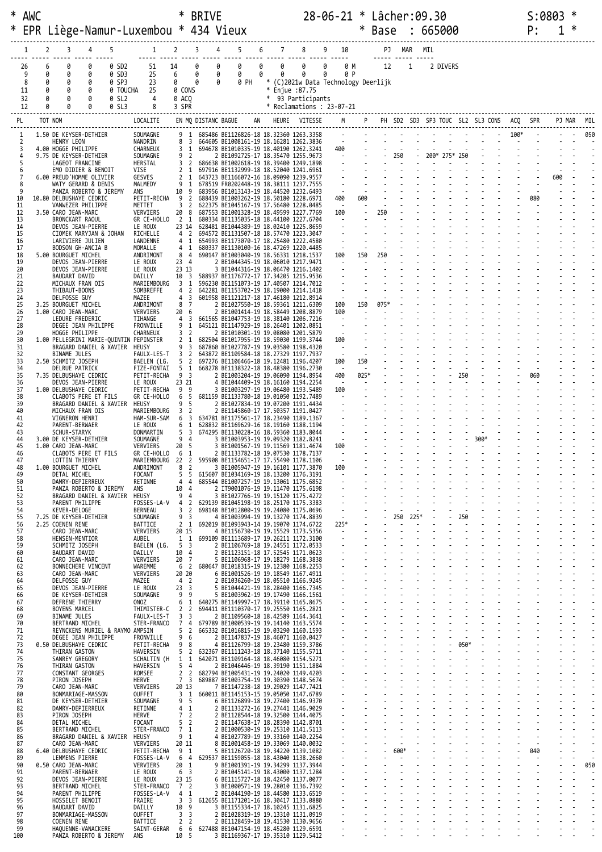|           | * AWC<br>EPR        |                  |                                         |                                                        |                                     | Liège-Namur-Luxembou * 434 Vieux                              | ∗                                |                                           | <b>BRIVE</b>               |                                                                                  |    |                                   |                                                             |        | 28-06-21 * Lâcher:09.30     | $\ast$           | <b>Base</b>    |                         |                    | : 665000 |               |                |                                      |               | S:0803<br>P: |     | ∗ |     |
|-----------|---------------------|------------------|-----------------------------------------|--------------------------------------------------------|-------------------------------------|---------------------------------------------------------------|----------------------------------|-------------------------------------------|----------------------------|----------------------------------------------------------------------------------|----|-----------------------------------|-------------------------------------------------------------|--------|-----------------------------|------------------|----------------|-------------------------|--------------------|----------|---------------|----------------|--------------------------------------|---------------|--------------|-----|---|-----|
|           |                     | 2                | 3                                       | 4                                                      | 5                                   |                                                               |                                  |                                           | 3<br>4                     | 5                                                                                | 6  | 7                                 | 8                                                           |        | 9 10                        |                  |                |                         | PJ MAR MIL         |          |               |                |                                      |               |              |     |   |     |
|           | 26<br>9<br>8<br>11  | 6<br>0<br>0<br>0 | 0<br>0<br>0<br>0                        | 0<br>0<br>0<br>0                                       | 0 SD2<br>0 SD3<br>0 SP3<br>0 TOUCHA | 51<br>25<br>23<br>25                                          | 14<br>6<br>0<br>0 CONS           |                                           | 0<br>0<br>0<br>0<br>0<br>0 | 0<br>0<br>0 PH                                                                   | 0  | 0<br>0<br>$\ast$<br>$\ast$        | 0<br>0<br>(C)2021w Data Technology Deerlijk<br>Enjue :87.75 | 0<br>0 | 0 M<br>0 P                  |                  | 12             |                         | $\mathbf{1}$       |          | 2 DIVERS      |                |                                      |               |              |     |   |     |
|           | 32<br>12            | 0                | 0<br>Ø                                  | 0                                                      | 0 SL2<br>0 SL3                      | 4                                                             | 0 ACO<br>3 SPR                   |                                           |                            |                                                                                  |    | $^*$<br>* Reclamations : 23-07-21 | 93 Participants                                             |        |                             |                  |                |                         |                    |          |               |                |                                      |               |              |     |   |     |
| PL        |                     | TOT NOM          |                                         |                                                        |                                     | LOCALITE                                                      |                                  |                                           | EN MQ DISTANC BAGUE        |                                                                                  | AN |                                   | HEURE VITESSE                                               |        | M                           |                  | P <sub>1</sub> |                         |                    |          |               |                | PH SD2 SD3 SP3 TOUC SL2 SL3 CONS ACQ |               |              |     |   |     |
|           | 1                   |                  |                                         | 1.50 DE KEYSER-DETHIER                                 |                                     | SOUMAGNE                                                      |                                  | - 1                                       |                            | 685486 BE1126826-18 18.32360 1263.3358                                           |    |                                   |                                                             |        |                             |                  |                |                         |                    |          |               |                |                                      | $100^{\circ}$ |              |     |   | 050 |
|           | $\overline{2}$<br>3 |                  | HENRY LEON<br>4.00 HOGGE PHILIPPE       |                                                        |                                     | NANDRIN<br>CHARNEUX                                           | 8                                | $\overline{\mathbf{3}}$<br>3 <sub>1</sub> |                            | 664605 BE1008161-19 18.16281 1262.3836<br>694678 BE1010335-19 18.40190 1262.3241 |    |                                   |                                                             |        | <b>Contractor</b><br>400    |                  |                |                         |                    |          |               |                |                                      |               |              |     |   |     |
|           | 4<br>5              |                  | LAGEOT FRANCINE                         | 9.75 DE KEYSER-DETHIER                                 |                                     | SOUMAGNE<br>HERSTAL                                           | 9<br>3                           | $\overline{2}$<br>$\overline{2}$          |                            | 2 BE1092725-17 18.35470 1255.9673<br>686638 BE1002618-19 18.39400 1249.1898      |    |                                   |                                                             |        | $\sim 100$ km s $^{-1}$     |                  |                | $-250$                  |                    |          | 200* 275* 250 |                |                                      |               |              |     |   |     |
|           | 6                   |                  |                                         | EMO DIDIER & BENOIT<br>6.00 PREUD'HOMME OLIVIER        |                                     | VISE<br>GESVES                                                | $\overline{2}$                   | 1<br>2 1                                  |                            | 697916 BE1132999-18 18.52040 1241.6961<br>643723 BE1166072-16 18.09090 1239.9557 |    |                                   |                                                             |        |                             |                  |                |                         |                    |          |               |                |                                      |               |              | 600 |   |     |
|           | 8<br>9              |                  |                                         | WATY GERARD & DENIS<br>PANZA ROBERTO & JEREMY          |                                     | MALMEDY<br>ANS                                                | 9<br>10                          | 1<br>-9                                   |                            | 678519 FR0202448-19 18.38111 1237.7555<br>683956 BE1013143-19 18.44520 1232.6493 |    |                                   |                                                             |        | $\sim$                      |                  |                |                         |                    |          |               |                |                                      |               |              |     |   |     |
| 10<br>11  |                     |                  |                                         | 10.80 DELBUSHAYE CEDRIC<br>VANWEZER PHILIPPE           |                                     | PETIT-RECHA<br>METTET                                         | -9<br>3                          | $\overline{2}$<br>$\overline{2}$          |                            | 688439 BE1003262-19 18.50180 1228.6971<br>622375 BE1045167-19 17.56480 1228.0485 |    |                                   |                                                             |        | 400<br>$\sim$               | 600<br>$\sim$    |                |                         |                    |          |               |                |                                      |               | 080          |     |   |     |
| 12<br>13  |                     |                  | 3.50 CARO JEAN-MARC<br>BRONCKART RAOUL  |                                                        |                                     | VERVIERS<br>GR CE-HOLLO                                       | 20<br>$\overline{2}$             | 8<br>- 1                                  |                            | 687553 BE1001328-19 18.49599 1227.7769<br>680334 BE1135035-18 18.44100 1227.6704 |    |                                   |                                                             |        | 100                         |                  | 250            |                         |                    |          |               |                |                                      |               |              |     |   |     |
| 14<br>15  |                     |                  |                                         | DEVOS JEAN-PIERRE<br>CIOMEK MARYJAN & JOHAN            |                                     | LE ROUX<br>RICHELLE                                           | 23 14                            | 4 <sup>2</sup>                            |                            | 628481 BE1044389-19 18.02410 1225.8659<br>694572 BE1131507-18 18.57470 1223.3047 |    |                                   |                                                             |        |                             |                  |                |                         |                    |          |               |                |                                      |               |              |     |   |     |
| 16<br>17  |                     |                  | LARIVIERE JULIEN                        | BODSON GH-ANCIA B                                      |                                     | LANDENNE<br>MOMALLE                                           | 4                                | 41<br>1                                   |                            | 654993 BE1173070-17 18.25480 1222.4580<br>680337 BE1130100-16 18.47269 1220.4485 |    |                                   |                                                             |        |                             |                  |                |                         |                    |          |               |                |                                      |               |              |     |   |     |
| 18<br>19  |                     |                  | 5.00 BOURGUET MICHEL                    | DEVOS JEAN-PIERRE                                      |                                     | ANDRIMONT<br>LE ROUX                                          | 8<br>23 4                        | -4                                        |                            | 690147 BE1003040-19 18.56331 1218.1537<br>2 BE1044345-19 18.06010 1217.9471      |    |                                   |                                                             |        | 100                         | 150              |                |                         |                    |          |               |                |                                      |               |              |     |   |     |
| 20<br>21  |                     |                  | BAUDART DAVID                           | DEVOS JEAN-PIERRE                                      |                                     | LE ROUX<br>DAILLY                                             | 23 13<br>10                      | $\overline{\mathbf{3}}$                   |                            | 3 BE1044316-19 18.06470 1216.1402<br>588937 BE1176772-17 17.34205 1215.9536      |    |                                   |                                                             |        |                             |                  |                |                         |                    |          |               |                |                                      |               |              |     |   |     |
| 22<br>23  |                     |                  | MICHAUX FRAN OIS<br>THIBAUT-BOONS       |                                                        |                                     | MARIEMBOURG<br>SOMBREFFE                                      | 3<br>4                           | 1<br>$\overline{2}$                       |                            | 596230 BE1151073-19 17.40507 1214.7012<br>642281 BE1153702-19 18.19000 1214.1418 |    |                                   |                                                             |        |                             |                  |                |                         |                    |          |               |                |                                      |               |              |     |   |     |
| 24<br>25  |                     |                  | DELFOSSE GUY<br>3.25 BOURGUET MICHEL    |                                                        |                                     | MAZEE<br>ANDRIMONT                                            | 4<br>8                           | 3<br>7                                    |                            | 601958 BE1121217-18 17.46180 1212.8914<br>2 BE1027550-19 18.59361 1211.6309      |    |                                   |                                                             |        | $\sim$<br>100               | 150              | 075*           |                         |                    |          |               |                |                                      |               |              |     |   |     |
| 26<br>27  |                     |                  | 1.00 CARO JEAN-MARC<br>LEDURE FREDERIC  |                                                        |                                     | VERVIERS<br>TIHANGE                                           | 20<br>4                          | - 6<br>$\overline{\mathbf{3}}$            |                            | 2 BE1001414-19 18.58449 1208.8879<br>661565 BE1047753-19 18.38140 1206.7216      |    |                                   |                                                             |        | 100<br>$\sim$               | $\sim$           |                |                         |                    |          |               |                |                                      |               |              |     |   |     |
| 28<br>29  |                     |                  |                                         | DEGEE JEAN PHILIPPE                                    |                                     | FRONVILLE<br>CHARNEUX                                         | 9<br>3                           | - 1<br>$\overline{2}$                     |                            | 645121 BE1147929-19 18.26401 1202.0851<br>2 BE1010301-19 19.08080 1201.5879      |    |                                   |                                                             |        |                             |                  |                |                         |                    |          |               |                |                                      |               |              |     |   |     |
| 30<br>31  |                     |                  | HOGGE PHILIPPE                          |                                                        |                                     | 1.00 PELLEGRINI MARIE-QUINTIN PEPINSTER                       | $\overline{2}$<br>9              | 1                                         |                            | 682504 BE1017955-19 18.59030 1199.3744                                           |    |                                   |                                                             |        | 100<br>$\sim$               |                  |                |                         |                    |          |               |                |                                      |               |              |     |   |     |
| 32        |                     |                  | BINAME JULES                            | BRAGARD DANIEL & XAVIER                                |                                     | HEUSY<br>FAULX-LES-T                                          | 3                                | 3<br>$\overline{2}$                       |                            | 687860 BE1027787-19 19.03580 1198.4320<br>643872 BE1109584-18 18.27329 1197.7937 |    |                                   |                                                             |        | $\sim$<br>100               | 150              |                |                         |                    |          |               |                |                                      |               |              |     |   |     |
| 33<br>34  |                     |                  | 2.50 SCHMITZ JOSEPH<br>DELRUE PATRICK   |                                                        |                                     | BAELEN (LG.<br>FIZE-FONTAI                                    | 5<br>5                           | $\overline{2}$<br>- 1                     |                            | 697276 BE1106466-18 19.12481 1196.4207<br>668278 BE1138322-18 18.48380 1196.2730 |    |                                   |                                                             |        | $\sim$<br>400               | $\sim$<br>$025*$ |                |                         |                    |          |               |                |                                      |               |              |     |   |     |
| 35<br>36  |                     |                  |                                         | 7.35 DELBUSHAYE CEDRIC<br>DEVOS JEAN-PIERRE            |                                     | PETIT-RECHA<br>LE ROUX                                        | 9<br>23 21                       | $_{3}$<br>9                               |                            | 2 BE1003204-19 19.06090 1194.8954<br>4 BE1044409-19 18.16160 1194.2254           |    |                                   |                                                             |        | $\sim$                      |                  |                |                         |                    |          |               | 250            |                                      |               | 060          |     |   |     |
| 37<br>38  |                     |                  |                                         | 1.00 DELBUSHAYE CEDRIC<br>CLABOTS PERE ET FILS         |                                     | PETIT-RECHA<br>GR CE-HOLLO                                    | 9<br>6                           | 5                                         |                            | 3 BE1003297-19 19.06480 1193.5489<br>681159 BE1133780-18 19.01050 1192.7489      |    |                                   |                                                             |        | 100<br>$\blacksquare$       |                  |                |                         |                    |          |               |                |                                      |               |              |     |   |     |
| 39<br>40  |                     |                  | MICHAUX FRAN OIS                        | BRAGARD DANIEL & XAVIER                                |                                     | HEUSY<br>MARIEMBOURG                                          | 9<br>3 2                         | 5                                         |                            | 2 BE1027834-19 19.07200 1191.4434<br>2 BE1145860-17 17.50357 1191.0427           |    |                                   |                                                             |        |                             |                  |                |                         |                    |          |               |                |                                      |               |              |     |   |     |
| 41<br>42  |                     |                  | VIGNERON HENRI<br>PARENT-BERWAER        |                                                        |                                     | HAM-SUR-SAM<br>LE ROUX                                        | 6<br>6                           | 3<br>1                                    |                            | 634781 BE1175561-17 18.23490 1189.1367<br>628832 BE1169629-16 18.19160 1188.1194 |    |                                   |                                                             |        |                             |                  |                |                         |                    |          |               |                |                                      |               |              |     |   |     |
| 43<br>44  |                     |                  | SCHUR-STARYK                            | 3.00 DE KEYSER-DETHIER                                 |                                     | DONMARTIN<br>SOUMAGNE                                         | 5<br>9                           | 3<br>-4                                   |                            | 674295 BE1130228-16 18.59360 1183.8044<br>3 BE1003953-19 19.09320 1182.8241      |    |                                   |                                                             |        | $\blacksquare$              |                  |                |                         |                    |          |               |                | 300*                                 |               |              |     |   |     |
| 45<br>46  |                     |                  | 1.00 CARO JEAN-MARC                     | CLABOTS PERE ET FILS                                   |                                     | VERVIERS<br>GR CE-HOLLO                                       | 20<br>6                          | - 5<br>1                                  |                            | 3 BE1001567-19 19.11569 1181.4674<br>2 BE1133782-18 19.07530 1178.7137           |    |                                   |                                                             |        | 100                         |                  |                |                         |                    |          |               |                |                                      |               |              |     |   |     |
| 47<br>48  |                     |                  | LOTTIN THIERRY<br>1.00 BOURGUET MICHEL  |                                                        |                                     | MARIEMBOURG<br>ANDRIMONT                                      | 8                                | 2                                         |                            | 22 2 595908 BE1154651-17 17.55490 1178.1106<br>3 BE1005947-19 19.16101 1177.3870 |    |                                   |                                                             |        | 100                         |                  |                |                         |                    |          |               |                |                                      |               |              |     |   |     |
| 49<br>50  |                     |                  | DETAL MICHEL<br>DAMRY-DEPIERREUX        |                                                        |                                     | FOCANT<br>RETINNE                                             | 5                                | - 5<br>4 4                                |                            | 615607 BE1034169-19 18.13200 1176.3191<br>685544 BE1007257-19 19.13061 1175.6852 |    |                                   |                                                             |        |                             |                  |                |                         |                    |          |               |                |                                      |               |              |     |   |     |
| 51        | 52                  |                  |                                         | PANZA ROBERTO & JEREMY<br>BRAGARD DANIEL & XAVIER      |                                     | ANS<br>HEUSY                                                  | 10 4<br>94                       |                                           |                            | 2 IT9001076-19 19.11470 1175.6198<br>3 BE1027766-19 19.15120 1175.4272           |    |                                   |                                                             |        |                             |                  |                |                         |                    |          |               |                |                                      |               |              |     |   |     |
| 53<br>54  |                     |                  | PARENT PHILIPPE<br>KEVER-DELOGE         |                                                        |                                     | FOSSES-LA-V 4 2<br><b>BERNEAU</b>                             |                                  | 3 <sub>2</sub>                            |                            | 629139 BE1045198-19 18.25170 1175.3383<br>698148 BE1012800-19 19.24080 1175.0696 |    |                                   |                                                             |        | $\sim$                      |                  |                |                         |                    |          |               |                |                                      |               |              |     |   |     |
| 55<br>56  |                     |                  | 2.25 COENEN RENE                        | 7.25 DE KEYSER-DETHIER                                 |                                     | SOUMAGNE<br>BATTICE                                           | 9 <sub>3</sub>                   | 2 <sub>1</sub>                            |                            | 4 BE1003994-19 19.13270 1174.8839<br>692019 BE1093943-14 19.19070 1174.6722      |    |                                   |                                                             |        | $\sim$<br>225*              |                  |                |                         | 250 225*<br>$\sim$ |          |               | 250<br>$\sim$  |                                      |               |              |     |   |     |
| 57<br>58  |                     |                  | CARO JEAN-MARC<br>HENSEN-MENTIOR        |                                                        |                                     | VERVIERS<br>AUBEL                                             | 20 15<br>1 1                     |                                           |                            | 4 BE1156730-19 19.15529 1173.5356<br>699109 BE1113689-17 19.26211 1172.3100      |    |                                   |                                                             |        | $\sim$ $-$                  |                  |                |                         |                    |          |               |                |                                      |               |              |     |   |     |
| 59<br>60  |                     |                  | SCHMITZ JOSEPH<br><b>BAUDART DAVID</b>  |                                                        |                                     | BAELEN (LG.<br>DAILLY                                         | 5 3<br>10 4                      |                                           |                            | 2 BE1106769-18 19.24551 1172.0533<br>2 BE1123151-18 17.52545 1171.0623           |    |                                   |                                                             |        |                             |                  |                |                         |                    |          |               |                |                                      |               |              |     |   |     |
| 61        | 62                  |                  | CARO JEAN-MARC                          | BONNECHERE VINCENT                                     |                                     | VERVIERS<br>WAREMME                                           | 20 7<br>6                        | $\overline{2}$                            |                            | 5 BE1106968-17 19.18279 1168.3838<br>680647 BE1018315-19 19.12380 1168.2253      |    |                                   |                                                             |        |                             |                  |                |                         |                    |          |               |                |                                      |               |              |     |   |     |
| 63<br>64  |                     |                  | CARO JEAN-MARC<br>DELFOSSE GUY          |                                                        |                                     | VERVIERS<br>MAZEE                                             | 20 20<br>4 2                     |                                           |                            | 6 BE1001526-19 19.18549 1167.4911<br>2 BE1036260-19 18.05510 1166.9245           |    |                                   |                                                             |        | $\mathcal{L}_{\mathcal{A}}$ |                  |                |                         |                    |          |               |                |                                      |               |              |     |   |     |
| 65<br>66  |                     |                  |                                         | DEVOS JEAN-PIERRE<br>DE KEYSER-DETHIER                 |                                     | LE ROUX<br>SOUMAGNE                                           | 23 <sup>3</sup><br>9             | 9                                         |                            | 5 BE1044421-19 18.28400 1166.7345<br>5 BE1003962-19 19.17490 1166.1561           |    |                                   |                                                             |        |                             |                  |                |                         |                    |          |               |                |                                      |               |              |     |   |     |
| 67<br>68  |                     |                  | DEFRENE THIERRY<br>BOYENS MARCEL        |                                                        |                                     | ONOZ<br>THIMISTER-C                                           | 6<br>2 <sub>2</sub>              | 1                                         |                            | 640275 BE1149997-17 18.39110 1165.8675<br>694411 BE1110370-17 19.25550 1165.2821 |    |                                   |                                                             |        |                             |                  |                |                         |                    |          |               |                |                                      |               |              |     |   |     |
| 69<br>70  |                     |                  | BINAME JULES<br>BERTRAND MICHEL         |                                                        |                                     | FAULX-LES-T<br>STER-FRANCO                                    | 3 <sup>3</sup><br>74             |                                           |                            | 2 BE1109560-18 18.42589 1164.3641<br>679789 BE1000539-19 19.14140 1163.5574      |    |                                   |                                                             |        |                             |                  |                |                         |                    |          |               |                |                                      |               |              |     |   |     |
| 72        | 71                  |                  |                                         | REYNCKENS MURIEL & RAYMO AMPSIN<br>DEGEE JEAN PHILIPPE |                                     | FRONVILLE                                                     | 5<br>9 6                         | $\overline{2}$                            |                            | 665332 BE1016815-19 19.03290 1160.1593<br>2 BE1147837-19 18.46071 1160.0427      |    |                                   |                                                             |        |                             |                  |                |                         |                    |          |               |                |                                      |               |              |     |   |     |
| 73<br>74  |                     |                  | THIRAN GASTON                           | 0.50 DELBUSHAYE CEDRIC                                 |                                     | PETIT-RECHA<br>HAVERSIN                                       | 9<br>5                           | - 8<br>$\overline{2}$                     |                            | 4 BE1126799-18 19.23480 1159.3786<br>632367 BE1111243-18 18.37140 1155.5711      |    |                                   |                                                             |        |                             |                  |                |                         |                    |          |               | 050*<br>$\sim$ |                                      |               |              |     |   |     |
| 75<br>76  |                     |                  | SANREY GREGORY<br>THIRAN GASTON         |                                                        |                                     | SCHALTIN (H<br>HAVERSIN                                       | 1 1                              | 54                                        |                            | 642071 BE1109164-18 18.46080 1154.5271<br>2 BE1046446-19 18.39190 1151.1884      |    |                                   |                                                             |        |                             |                  |                |                         |                    |          |               |                |                                      |               |              |     |   |     |
| 77<br>78  |                     |                  | CONSTANT GEORGES<br>PIRON JOSEPH        |                                                        |                                     | ROMSEE<br>HERVE                                               | 7 <sup>3</sup>                   | 2 <sub>2</sub>                            |                            | 682794 BE1005431-19 19.24020 1149.4203<br>689887 BE1003754-19 19.30390 1148.5674 |    |                                   |                                                             |        |                             |                  |                |                         |                    |          |               |                |                                      |               |              |     |   |     |
| 79<br>80  |                     |                  | CARO JEAN-MARC                          | BONMARIAGE-MASSON                                      |                                     | VERVIERS<br>OUFFET                                            | 20 13                            | 3 <sub>1</sub>                            |                            | 7 BE1147238-18 19.29029 1147.7421<br>660011 BE1145153-15 19.05050 1147.6789      |    |                                   |                                                             |        |                             |                  |                |                         |                    |          |               |                |                                      |               |              |     |   |     |
| 81<br>82  |                     |                  | DAMRY-DEPIERREUX                        | DE KEYSER-DETHIER                                      |                                     | SOUMAGNE<br>RETINNE                                           | 4 1                              | 9 <sub>5</sub>                            |                            | 6 BE1126899-18 19.27400 1146.9370<br>2 BE1133272-16 19.27441 1146.9029           |    |                                   |                                                             |        |                             |                  |                |                         |                    |          |               |                |                                      |               |              |     |   |     |
| 83<br>84  |                     |                  | PIRON JOSEPH<br>DETAL MICHEL            |                                                        |                                     | HERVE<br>FOCANT                                               | 5 <sub>2</sub>                   | 7 <sub>2</sub>                            |                            | 2 BE1128544-18 19.32500 1144.4075<br>2 BE1147638-17 18.28390 1142.8701           |    |                                   |                                                             |        |                             |                  |                |                         |                    |          |               |                |                                      |               |              |     |   |     |
| 85<br>86  |                     |                  | BERTRAND MICHEL                         | BRAGARD DANIEL & XAVIER HEUSY                          |                                     | STER-FRANCO                                                   | 7 <sub>1</sub>                   | 9 <sub>1</sub>                            |                            | 2 BE1000530-19 19.25310 1141.5113<br>4 BE1027789-19 19.33160 1140.2254           |    |                                   |                                                             |        |                             |                  |                |                         |                    |          |               |                |                                      |               |              |     |   |     |
| 87<br>88  |                     |                  | CARO JEAN-MARC                          | 6.40 DELBUSHAYE CEDRIC                                 |                                     | VERVIERS<br>PETIT-RECHA                                       | 20 11<br>9 <sub>1</sub>          |                                           |                            | 8 BE1001458-19 19.33069 1140.0032<br>5 BE1126720-18 19.34220 1139.1082           |    |                                   |                                                             |        |                             |                  |                | $\mathbf{r}$<br>$-600*$ |                    |          |               |                |                                      |               | 040          |     |   |     |
| 89<br>90  |                     |                  | LEMMENS PIERRE<br>0.50 CARO JEAN-MARC   |                                                        |                                     | FOSSES-LA-V<br>VERVIERS                                       | 20 1                             |                                           |                            | 6 4 629537 BE1159055-18 18.43040 1138.2660<br>9 BE1001391-19 19.34299 1137.3944  |    |                                   |                                                             |        |                             |                  |                | $\blacksquare$          |                    |          |               |                |                                      |               |              |     |   | 050 |
| 91<br>92  |                     |                  | PARENT-BERWAER                          | DEVOS JEAN-PIERRE                                      |                                     | LE ROUX<br>LE ROUX                                            | 6 <sup>3</sup><br>23 15          |                                           |                            | 2 BE1045141-19 18.43000 1137.1284<br>6 BE1115727-18 18.42450 1137.0077           |    |                                   |                                                             |        |                             |                  |                |                         |                    |          |               |                |                                      |               |              |     |   |     |
| 93<br>94  |                     |                  | BERTRAND MICHEL<br>PARENT PHILIPPE      |                                                        |                                     | STER-FRANCO<br>FOSSES-LA-V                                    | 7 2<br>4 1                       |                                           |                            | 3 BE1000571-19 19.28010 1136.7392<br>2 BE1044190-19 18.44580 1133.6519           |    |                                   |                                                             |        | $\omega$                    |                  |                |                         |                    |          |               |                |                                      |               |              |     |   |     |
| 95<br>96  |                     |                  | HOSSELET BENOIT<br><b>BAUDART DAVID</b> |                                                        |                                     | FRAIRE<br>DAILLY                                              | 3 <sup>3</sup><br>10 9           |                                           |                            | 612655 BE1171201-16 18.30417 1133.0880<br>3 BE1155334-17 18.10245 1131.6825      |    |                                   |                                                             |        |                             |                  |                |                         |                    |          |               |                |                                      |               |              |     |   |     |
| 97<br>98  |                     |                  | <b>COENEN RENE</b>                      | BONMARIAGE-MASSON                                      |                                     | <b>OUFFET</b><br>BATTICE                                      | 3 <sup>3</sup><br>2 <sub>2</sub> |                                           |                            | 2 BE1028319-19 19.13310 1131.0919<br>2 BE1128459-18 19.41530 1130.9656           |    |                                   |                                                             |        |                             |                  |                |                         |                    |          |               |                |                                      |               |              |     |   |     |
| 99<br>100 |                     |                  |                                         | HAQUENNE-VANACKERE<br>PANZA ROBERTO & JEREMY           |                                     | SAINT-GERAR 6 6 627488 BE1047154-19 18.45280 1129.6591<br>ans | 10 5                             |                                           |                            | 3 BE1169367-17 19.35310 1129.5412                                                |    |                                   |                                                             |        |                             |                  |                |                         |                    |          |               |                |                                      |               |              |     |   |     |